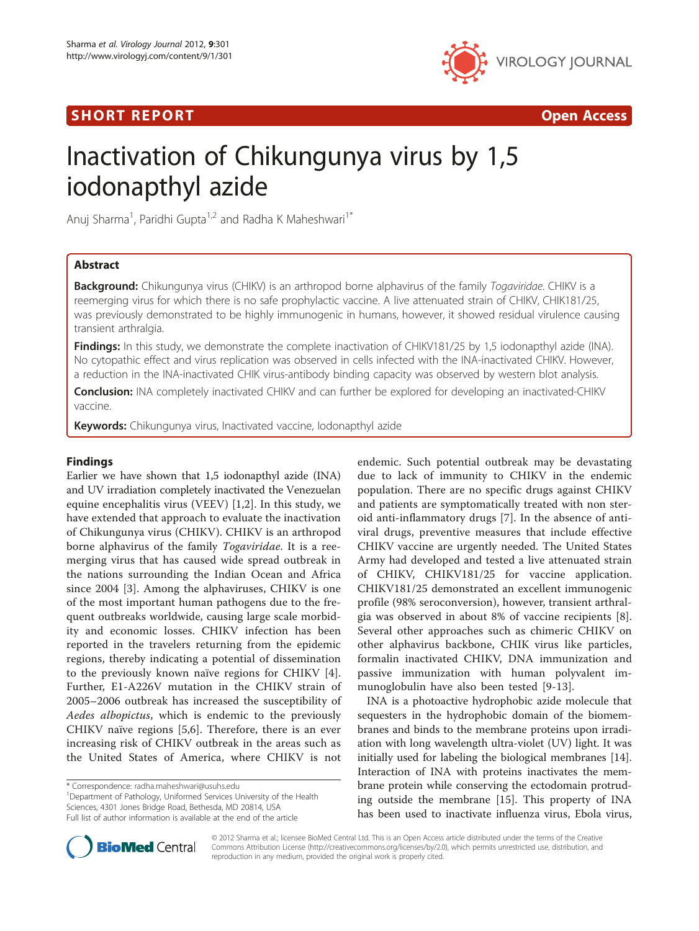# SHORT REPORT AND RESERVE THE SHORT CONTROL CONTROL CONTROL CONTROL CONTROL CONTROL CONTROL CONTROL CONTROL CONTROL CONTROL CONTROL CONTROL CONTROL CONTROL CONTROL CONTROL CONTROL CONTROL CONTROL CONTROL CONTROL CONTROL CON



# Inactivation of Chikungunya virus by 1,5 iodonapthyl azide

Anuj Sharma<sup>1</sup>, Paridhi Gupta<sup>1,2</sup> and Radha K Maheshwari<sup>1\*</sup>

# Abstract

Background: Chikungunya virus (CHIKV) is an arthropod borne alphavirus of the family Togaviridae. CHIKV is a reemerging virus for which there is no safe prophylactic vaccine. A live attenuated strain of CHIKV, CHIK181/25, was previously demonstrated to be highly immunogenic in humans, however, it showed residual virulence causing transient arthralgia.

Findings: In this study, we demonstrate the complete inactivation of CHIKV181/25 by 1,5 iodonapthyl azide (INA). No cytopathic effect and virus replication was observed in cells infected with the INA-inactivated CHIKV. However, a reduction in the INA-inactivated CHIK virus-antibody binding capacity was observed by western blot analysis.

**Conclusion:** INA completely inactivated CHIKV and can further be explored for developing an inactivated-CHIKV vaccine.

Keywords: Chikungunya virus, Inactivated vaccine, Iodonapthyl azide

## Findings

Earlier we have shown that 1,5 iodonapthyl azide (INA) and UV irradiation completely inactivated the Venezuelan equine encephalitis virus (VEEV) [[1,2](#page-4-0)]. In this study, we have extended that approach to evaluate the inactivation of Chikungunya virus (CHIKV). CHIKV is an arthropod borne alphavirus of the family Togaviridae. It is a reemerging virus that has caused wide spread outbreak in the nations surrounding the Indian Ocean and Africa since 2004 [\[3](#page-4-0)]. Among the alphaviruses, CHIKV is one of the most important human pathogens due to the frequent outbreaks worldwide, causing large scale morbidity and economic losses. CHIKV infection has been reported in the travelers returning from the epidemic regions, thereby indicating a potential of dissemination to the previously known naïve regions for CHIKV [[4](#page-4-0)]. Further, E1-A226V mutation in the CHIKV strain of 2005–2006 outbreak has increased the susceptibility of Aedes albopictus, which is endemic to the previously CHIKV naïve regions [[5,6](#page-4-0)]. Therefore, there is an ever increasing risk of CHIKV outbreak in the areas such as the United States of America, where CHIKV is not

<sup>1</sup>Department of Pathology, Uniformed Services University of the Health Sciences, 4301 Jones Bridge Road, Bethesda, MD 20814, USA Full list of author information is available at the end of the article

endemic. Such potential outbreak may be devastating due to lack of immunity to CHIKV in the endemic population. There are no specific drugs against CHIKV and patients are symptomatically treated with non steroid anti-inflammatory drugs [[7\]](#page-4-0). In the absence of antiviral drugs, preventive measures that include effective CHIKV vaccine are urgently needed. The United States Army had developed and tested a live attenuated strain of CHIKV, CHIKV181/25 for vaccine application. CHIKV181/25 demonstrated an excellent immunogenic profile (98% seroconversion), however, transient arthralgia was observed in about 8% of vaccine recipients [\[8](#page-4-0)]. Several other approaches such as chimeric CHIKV on other alphavirus backbone, CHIK virus like particles, formalin inactivated CHIKV, DNA immunization and passive immunization with human polyvalent immunoglobulin have also been tested [\[9-13](#page-4-0)].

INA is a photoactive hydrophobic azide molecule that sequesters in the hydrophobic domain of the biomembranes and binds to the membrane proteins upon irradiation with long wavelength ultra-violet (UV) light. It was initially used for labeling the biological membranes [\[14](#page-4-0)]. Interaction of INA with proteins inactivates the membrane protein while conserving the ectodomain protruding outside the membrane [[15\]](#page-4-0). This property of INA has been used to inactivate influenza virus, Ebola virus,



© 2012 Sharma et al.; licensee BioMed Central Ltd. This is an Open Access article distributed under the terms of the Creative Commons Attribution License [\(http://creativecommons.org/licenses/by/2.0\)](http://creativecommons.org/licenses/by/2.0), which permits unrestricted use, distribution, and reproduction in any medium, provided the original work is properly cited.

<sup>\*</sup> Correspondence: [radha.maheshwari@usuhs.edu](mailto:radha.maheshwari@usuhs.edu) <sup>1</sup>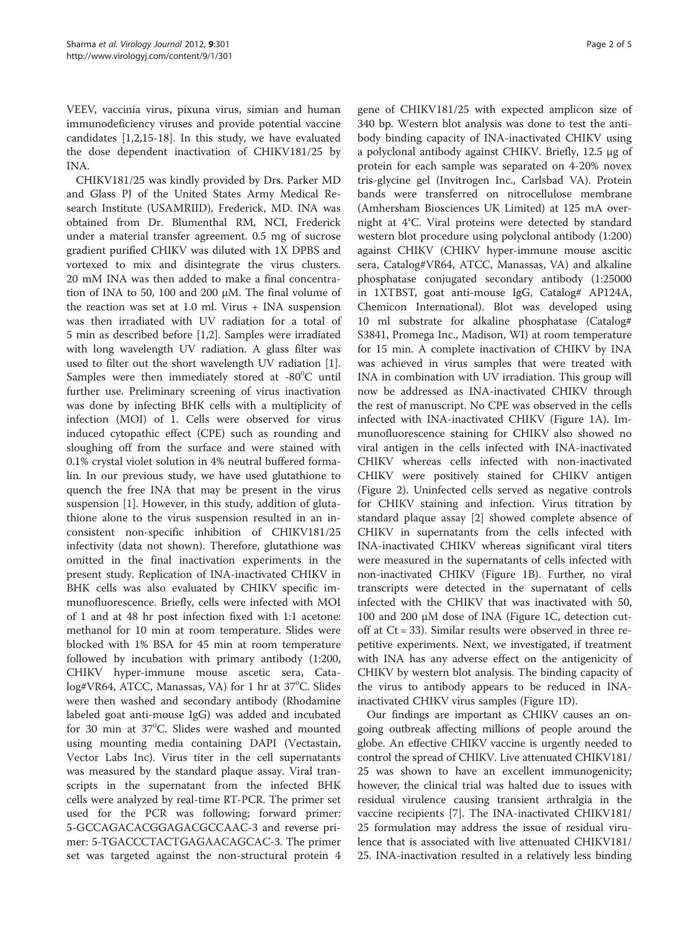VEEV, vaccinia virus, pixuna virus, simian and human immunodeficiency viruses and provide potential vaccine candidates [[1,2,15-18](#page-4-0)]. In this study, we have evaluated the dose dependent inactivation of CHIKV181/25 by INA.

CHIKV181/25 was kindly provided by Drs. Parker MD and Glass PJ of the United States Army Medical Research Institute (USAMRIID), Frederick, MD. INA was obtained from Dr. Blumenthal RM, NCI, Frederick under a material transfer agreement. 0.5 mg of sucrose gradient purified CHIKV was diluted with 1X DPBS and vortexed to mix and disintegrate the virus clusters. 20 mM INA was then added to make a final concentration of INA to 50, 100 and 200 μM. The final volume of the reaction was set at 1.0 ml. Virus + INA suspension was then irradiated with UV radiation for a total of 5 min as described before [[1,2\]](#page-4-0). Samples were irradiated with long wavelength UV radiation. A glass filter was used to filter out the short wavelength UV radiation [\[1](#page-4-0)]. Samples were then immediately stored at  $-80^{\circ}$ C until further use. Preliminary screening of virus inactivation was done by infecting BHK cells with a multiplicity of infection (MOI) of 1. Cells were observed for virus induced cytopathic effect (CPE) such as rounding and sloughing off from the surface and were stained with 0.1% crystal violet solution in 4% neutral buffered formalin. In our previous study, we have used glutathione to quench the free INA that may be present in the virus suspension [[1\]](#page-4-0). However, in this study, addition of glutathione alone to the virus suspension resulted in an inconsistent non-specific inhibition of CHIKV181/25 infectivity (data not shown). Therefore, glutathione was omitted in the final inactivation experiments in the present study. Replication of INA-inactivated CHIKV in BHK cells was also evaluated by CHIKV specific immunofluorescence. Briefly, cells were infected with MOI of 1 and at 48 hr post infection fixed with 1:1 acetone: methanol for 10 min at room temperature. Slides were blocked with 1% BSA for 45 min at room temperature followed by incubation with primary antibody (1:200, CHIKV hyper-immune mouse ascetic sera, Catalog#VR64, ATCC, Manassas, VA) for 1 hr at 37<sup>0</sup>C. Slides were then washed and secondary antibody (Rhodamine labeled goat anti-mouse IgG) was added and incubated for 30 min at  $37^{\circ}$ C. Slides were washed and mounted using mounting media containing DAPI (Vectastain, Vector Labs Inc). Virus titer in the cell supernatants was measured by the standard plaque assay. Viral transcripts in the supernatant from the infected BHK cells were analyzed by real-time RT-PCR. The primer set used for the PCR was following; forward primer: 5-GCCAGACACGGAGACGCCAAC-3 and reverse primer: 5-TGACCCTACTGAGAACAGCAC-3. The primer set was targeted against the non-structural protein 4

gene of CHIKV181/25 with expected amplicon size of 340 bp. Western blot analysis was done to test the antibody binding capacity of INA-inactivated CHIKV using a polyclonal antibody against CHIKV. Briefly, 12.5 μg of protein for each sample was separated on 4-20% novex tris-glycine gel (Invitrogen Inc., Carlsbad VA). Protein bands were transferred on nitrocellulose membrane (Amhersham Biosciences UK Limited) at 125 mA overnight at 4°C. Viral proteins were detected by standard western blot procedure using polyclonal antibody (1:200) against CHIKV (CHIKV hyper-immune mouse ascitic sera, Catalog#VR64, ATCC, Manassas, VA) and alkaline phosphatase conjugated secondary antibody (1:25000 in 1XTBST, goat anti-mouse IgG, Catalog# AP124A, Chemicon International). Blot was developed using 10 ml substrate for alkaline phosphatase (Catalog# S3841, Promega Inc., Madison, WI) at room temperature for 15 min. A complete inactivation of CHIKV by INA was achieved in virus samples that were treated with INA in combination with UV irradiation. This group will now be addressed as INA-inactivated CHIKV through the rest of manuscript. No CPE was observed in the cells infected with INA-inactivated CHIKV (Figure [1A\)](#page-2-0). Immunofluorescence staining for CHIKV also showed no viral antigen in the cells infected with INA-inactivated CHIKV whereas cells infected with non-inactivated CHIKV were positively stained for CHIKV antigen (Figure [2\)](#page-4-0). Uninfected cells served as negative controls for CHIKV staining and infection. Virus titration by standard plaque assay [[2](#page-4-0)] showed complete absence of CHIKV in supernatants from the cells infected with INA-inactivated CHIKV whereas significant viral titers were measured in the supernatants of cells infected with non-inactivated CHIKV (Figure [1B\)](#page-2-0). Further, no viral transcripts were detected in the supernatant of cells infected with the CHIKV that was inactivated with 50, 100 and 200 μM dose of INA (Figure [1C](#page-2-0), detection cutoff at Ct = 33). Similar results were observed in three repetitive experiments. Next, we investigated, if treatment with INA has any adverse effect on the antigenicity of CHIKV by western blot analysis. The binding capacity of the virus to antibody appears to be reduced in INAinactivated CHIKV virus samples (Figure [1D](#page-2-0)).

Our findings are important as CHIKV causes an ongoing outbreak affecting millions of people around the globe. An effective CHIKV vaccine is urgently needed to control the spread of CHIKV. Live attenuated CHIKV181/ 25 was shown to have an excellent immunogenicity; however, the clinical trial was halted due to issues with residual virulence causing transient arthralgia in the vaccine recipients [[7\]](#page-4-0). The INA-inactivated CHIKV181/ 25 formulation may address the issue of residual virulence that is associated with live attenuated CHIKV181/ 25. INA-inactivation resulted in a relatively less binding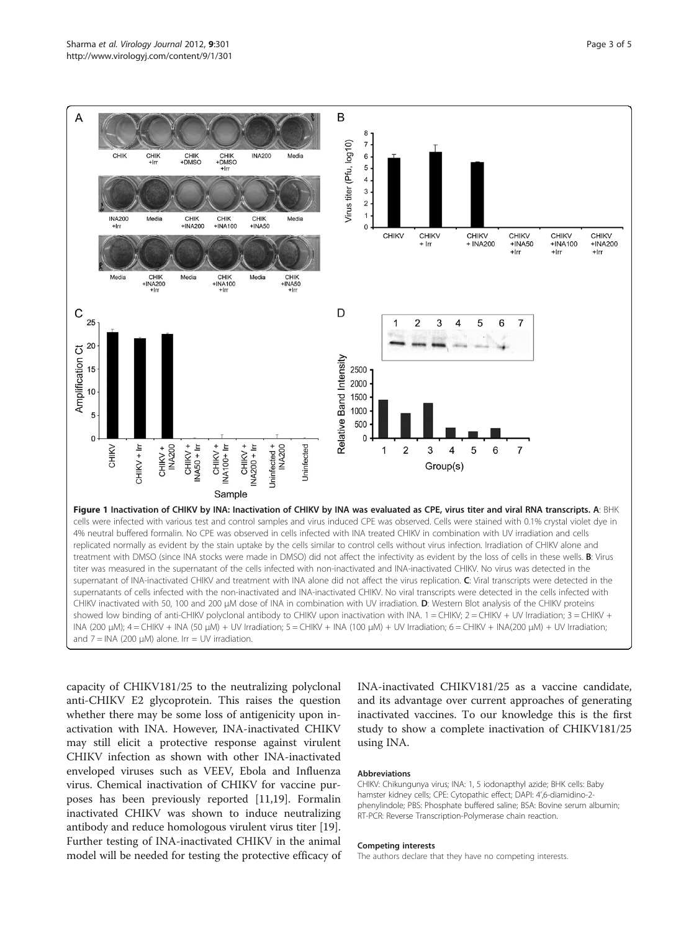<span id="page-2-0"></span>

capacity of CHIKV181/25 to the neutralizing polyclonal anti-CHIKV E2 glycoprotein. This raises the question whether there may be some loss of antigenicity upon inactivation with INA. However, INA-inactivated CHIKV may still elicit a protective response against virulent CHIKV infection as shown with other INA-inactivated enveloped viruses such as VEEV, Ebola and Influenza virus. Chemical inactivation of CHIKV for vaccine purposes has been previously reported [[11](#page-4-0),[19](#page-4-0)]. Formalin inactivated CHIKV was shown to induce neutralizing antibody and reduce homologous virulent virus titer [\[19](#page-4-0)]. Further testing of INA-inactivated CHIKV in the animal model will be needed for testing the protective efficacy of

INA-inactivated CHIKV181/25 as a vaccine candidate, and its advantage over current approaches of generating inactivated vaccines. To our knowledge this is the first study to show a complete inactivation of CHIKV181/25 using INA.

#### Abbreviations

CHIKV: Chikungunya virus; INA: 1, 5 iodonapthyl azide; BHK cells: Baby hamster kidney cells; CPE: Cytopathic effect; DAPI: 4',6-diamidino-2 phenylindole; PBS: Phosphate buffered saline; BSA: Bovine serum albumin; RT-PCR: Reverse Transcription-Polymerase chain reaction.

#### Competing interests

The authors declare that they have no competing interests.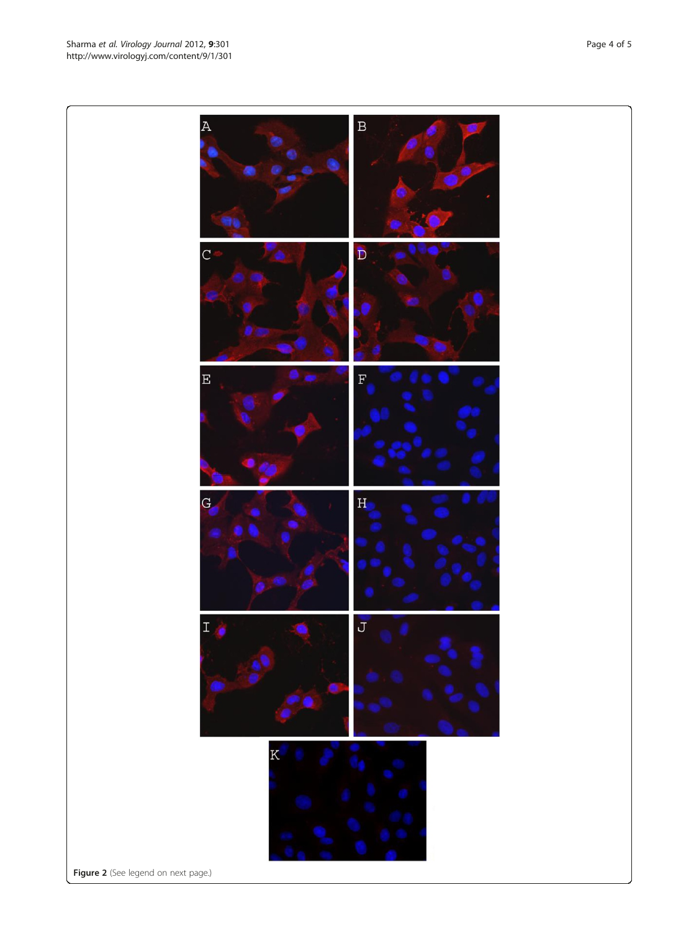Figure 2 (See legend on next page.)



 $\, {\bf B}$ 

 $\overline{A}$